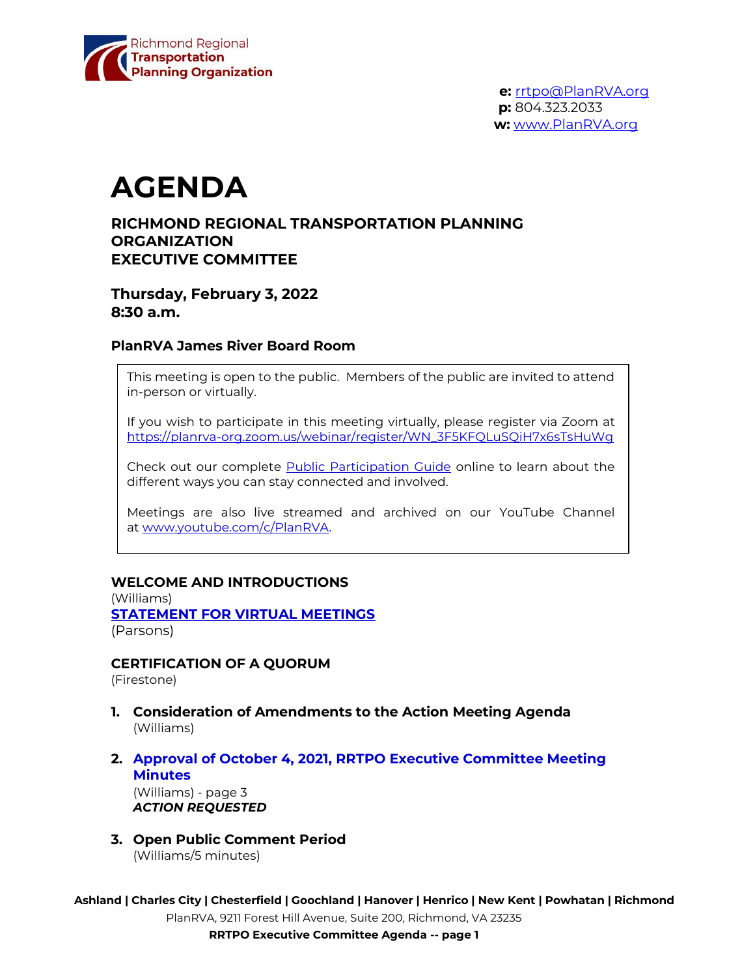

# **AGENDA**

# **RICHMOND REGIONAL TRANSPORTATION PLANNING ORGANIZATION EXECUTIVE COMMITTEE**

**Thursday, February 3, 2022 8:30 a.m.**

## **PlanRVA James River Board Room**

This meeting is open to the public. Members of the public are invited to attend in-person or virtually.

If you wish to participate in this meeting virtually, please register via Zoom at [https://planrva-org.zoom.us/webinar/register/WN\\_3F5KFQLuSQiH7x6sTsHuWg](https://planrva-org.zoom.us/webinar/register/WN_3F5KFQLuSQiH7x6sTsHuWg)

Check out our complete [Public Participation Guide](https://planrva.org/wp-content/uploads/Infographic_PlanRVA_1_CF.ai_.pdf) online to learn about the different ways you can stay connected and involved.

Meetings are also live streamed and archived on our YouTube Channel at [www.youtube.com/c/PlanRVA.](http://www.youtube.com/c/PlanRVA)

## **WELCOME AND INTRODUCTIONS**

(Williams) **[STATEMENT FOR VIRTUAL MEETINGS](https://planrva.org/wp-content/uploads/Statement-Regarding-Virtual-Mtgs-TPO.pdf)** (Parsons)

**CERTIFICATION OF A QUORUM**

(Firestone)

- **1. Consideration of Amendments to the Action Meeting Agenda** (Williams)
- **2. Approval of October 4, 2021, RRTPO Executive Committee Meeting Minutes** (Williams) - page 3

*ACTION REQUESTED*

**3. Open Public Comment Period** (Williams/5 minutes)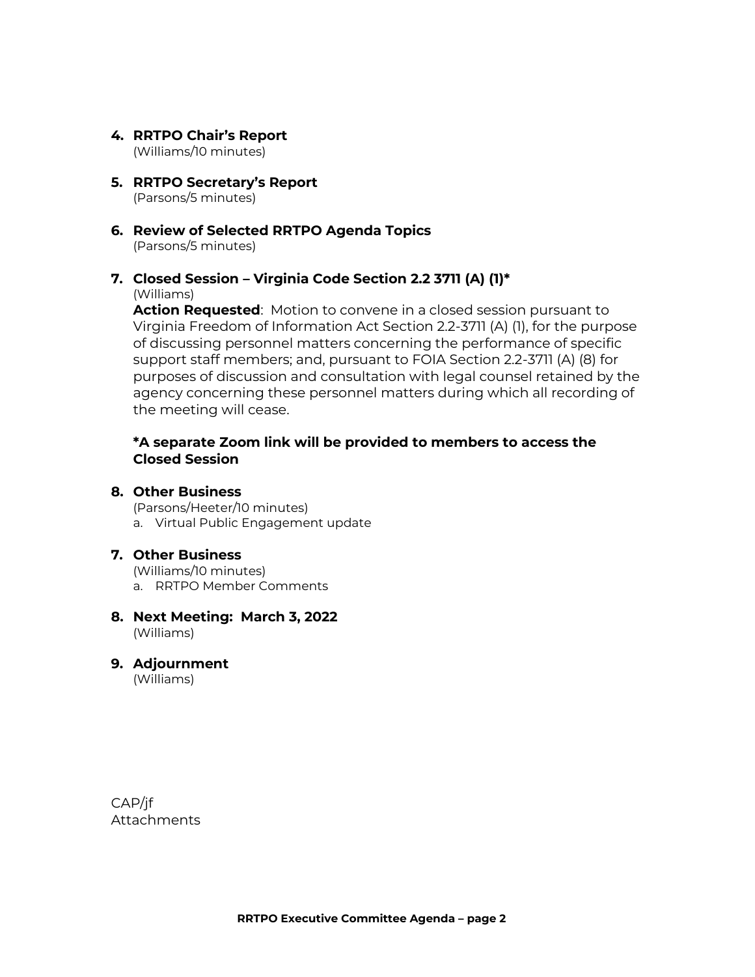- **4. RRTPO Chair's Report** (Williams/10 minutes)
- **5. RRTPO Secretary's Report** (Parsons/5 minutes)
- **6. Review of Selected RRTPO Agenda Topics** (Parsons/5 minutes)
- **7. Closed Session – Virginia Code Section 2.2 3711 (A) (1)\*** (Williams)

**Action Requested**: Motion to convene in a closed session pursuant to Virginia Freedom of Information Act Section 2.2-3711 (A) (1), for the purpose of discussing personnel matters concerning the performance of specific support staff members; and, pursuant to FOIA Section 2.2-3711 (A) (8) for purposes of discussion and consultation with legal counsel retained by the agency concerning these personnel matters during which all recording of the meeting will cease.

# **\*A separate Zoom link will be provided to members to access the Closed Session**

## **8. Other Business**

(Parsons/Heeter/10 minutes) a. Virtual Public Engagement update

## **7. Other Business**

(Williams/10 minutes) a. RRTPO Member Comments

#### **8. Next Meeting: March 3, 2022** (Williams)

**9. Adjournment** (Williams)

CAP/jf Attachments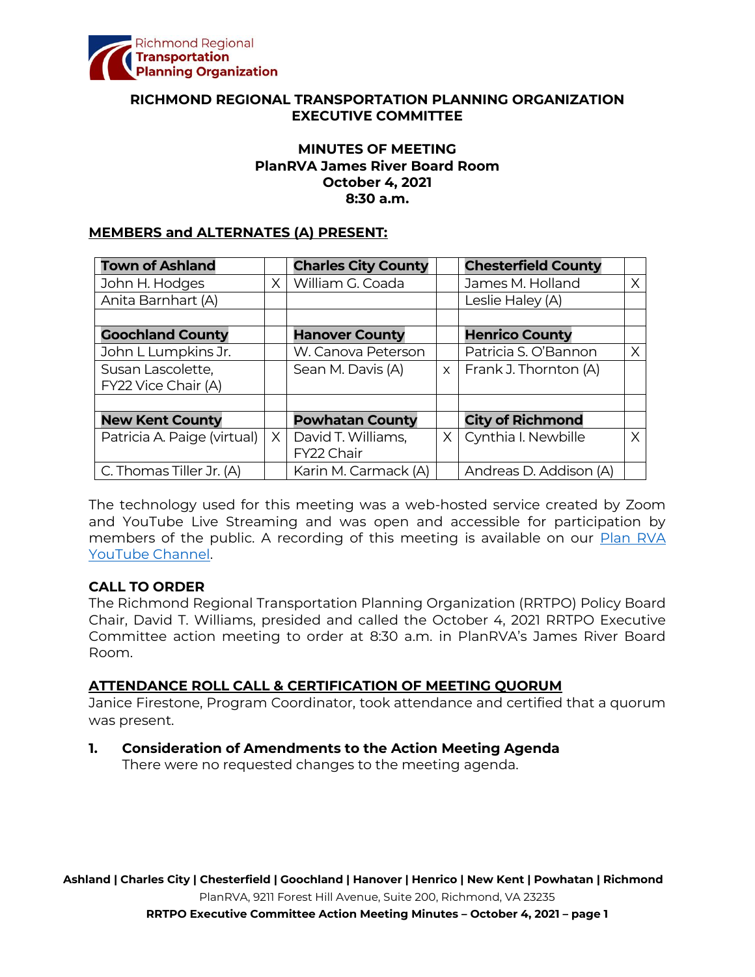

## **RICHMOND REGIONAL TRANSPORTATION PLANNING ORGANIZATION EXECUTIVE COMMITTEE**

## **MINUTES OF MEETING PlanRVA James River Board Room October 4, 2021 8:30 a.m.**

#### **MEMBERS and ALTERNATES (A) PRESENT:**

| <b>Town of Ashland</b>      |          | <b>Charles City County</b> |          | <b>Chesterfield County</b> |   |
|-----------------------------|----------|----------------------------|----------|----------------------------|---|
| John H. Hodges              | $\times$ | William G. Coada           |          | James M. Holland           | X |
| Anita Barnhart (A)          |          |                            |          | Leslie Haley (A)           |   |
|                             |          |                            |          |                            |   |
| <b>Goochland County</b>     |          | <b>Hanover County</b>      |          | <b>Henrico County</b>      |   |
| John L Lumpkins Jr.         |          | W. Canova Peterson         |          | Patricia S. O'Bannon       | X |
| Susan Lascolette,           |          | Sean M. Davis (A)          | $\times$ | Frank J. Thornton (A)      |   |
| FY22 Vice Chair (A)         |          |                            |          |                            |   |
|                             |          |                            |          |                            |   |
| <b>New Kent County</b>      |          | <b>Powhatan County</b>     |          | <b>City of Richmond</b>    |   |
| Patricia A. Paige (virtual) | X        | David T. Williams,         | X        | Cynthia I. Newbille        | X |
|                             |          | FY22 Chair                 |          |                            |   |
| C. Thomas Tiller Jr. (A)    |          | Karin M. Carmack (A)       |          | Andreas D. Addison (A)     |   |

The technology used for this meeting was a web-hosted service created by Zoom and YouTube Live Streaming and was open and accessible for participation by members of the public. A recording of this meeting is available on our Plan RVA YouTube Channel.

## **CALL TO ORDER**

The Richmond Regional Transportation Planning Organization (RRTPO) Policy Board Chair, David T. Williams, presided and called the October 4, 2021 RRTPO Executive Committee action meeting to order at 8:30 a.m. in PlanRVA's James River Board Room.

#### **ATTENDANCE ROLL CALL & CERTIFICATION OF MEETING QUORUM**

Janice Firestone, Program Coordinator, took attendance and certified that a quorum was present.

## **1. Consideration of Amendments to the Action Meeting Agenda**

There were no requested changes to the meeting agenda.

**Ashland | Charles City | Chesterfield | Goochland | Hanover | Henrico | New Kent | Powhatan | Richmond** PlanRVA, 9211 Forest Hill Avenue, Suite 200, Richmond, VA 23235

**RRTPO Executive Committee Action Meeting Minutes – October 4, 2021 – page 1**